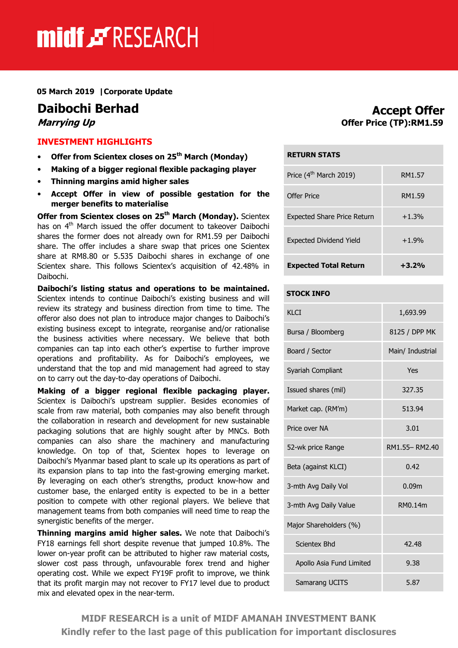# midf & RESEARCH

05 March 2019 |Corporate Update

### INVESTMENT HIGHLIGHTS

- Offer from Scientex closes on 25<sup>th</sup> March (Monday)
- Making of a bigger regional flexible packaging player
- Thinning margins amid higher sales
- Accept Offer in view of possible gestation for the merger benefits to materialise

Offer from Scientex closes on 25<sup>th</sup> March (Monday). Scientex has on 4<sup>th</sup> March issued the offer document to takeover Daibochi shares the former does not already own for RM1.59 per Daibochi share. The offer includes a share swap that prices one Scientex share at RM8.80 or 5.535 Daibochi shares in exchange of one Scientex share. This follows Scientex's acquisition of 42.48% in Daibochi.

Daibochi's listing status and operations to be maintained. Scientex intends to continue Daibochi's existing business and will review its strategy and business direction from time to time. The offeror also does not plan to introduce major changes to Daibochi's existing business except to integrate, reorganise and/or rationalise the business activities where necessary. We believe that both companies can tap into each other's expertise to further improve operations and profitability. As for Daibochi's employees, we understand that the top and mid management had agreed to stay on to carry out the day-to-day operations of Daibochi.

Making of a bigger regional flexible packaging player. Scientex is Daibochi's upstream supplier. Besides economies of scale from raw material, both companies may also benefit through the collaboration in research and development for new sustainable packaging solutions that are highly sought after by MNCs. Both companies can also share the machinery and manufacturing knowledge. On top of that, Scientex hopes to leverage on Daibochi's Myanmar based plant to scale up its operations as part of its expansion plans to tap into the fast-growing emerging market. By leveraging on each other's strengths, product know-how and customer base, the enlarged entity is expected to be in a better position to compete with other regional players. We believe that management teams from both companies will need time to reap the synergistic benefits of the merger.

Thinning margins amid higher sales. We note that Daibochi's FY18 earnings fell short despite revenue that jumped 10.8%. The lower on-year profit can be attributed to higher raw material costs, slower cost pass through, unfavourable forex trend and higher operating cost. While we expect FY19F profit to improve, we think that its profit margin may not recover to FY17 level due to product mix and elevated opex in the near-term.

## **Daibochi Berhad Accept Offer**<br> *Marrying Up* **Accept Offer**<br>
Offer Price (TP):RM1.59 Offer Price (TP):RM1.59

#### RETURN STATS

| <b>Expected Total Return</b>       | $+3.2%$ |
|------------------------------------|---------|
| <b>Expected Dividend Yield</b>     | $+1.9%$ |
| <b>Expected Share Price Return</b> | $+1.3%$ |
| Offer Price                        | RM1.59  |
| Price (4 <sup>th</sup> March 2019) | RM1.57  |
|                                    |         |

#### STOCK INFO

| KI CI                    | 1,693.99          |  |
|--------------------------|-------------------|--|
| Bursa / Bloomberg        | 8125 / DPP MK     |  |
| Board / Sector           | Main/ Industrial  |  |
| Syariah Compliant        | Yes               |  |
| Issued shares (mil)      | 327.35            |  |
| Market cap. (RM'm)       | 513.94            |  |
| Price over NA            | 3.01              |  |
| 52-wk price Range        | RM1.55-RM2.40     |  |
| Beta (against KLCI)      | 0.42              |  |
| 3-mth Avg Daily Vol      | 0.09 <sub>m</sub> |  |
| 3-mth Avg Daily Value    | RM0.14m           |  |
| Major Shareholders (%)   |                   |  |
| Scientex Bhd             | 42.48             |  |
| Apollo Asia Fund Limited | 9.38              |  |
| Samarang UCITS           | 5.87              |  |

MIDF RESEARCH is a unit of MIDF AMANAH INVESTMENT BANK Kindly refer to the last page of this publication for important disclosures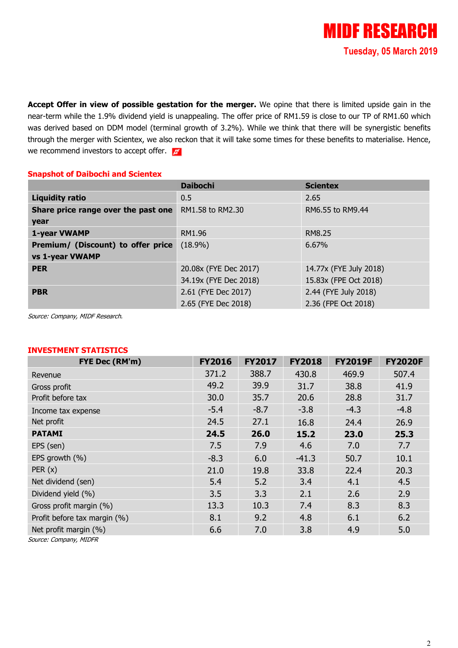Accept Offer in view of possible gestation for the merger. We opine that there is limited upside gain in the near-term while the 1.9% dividend yield is unappealing. The offer price of RM1.59 is close to our TP of RM1.60 which was derived based on DDM model (terminal growth of 3.2%). While we think that there will be synergistic benefits through the merger with Scientex, we also reckon that it will take some times for these benefits to materialise. Hence, we recommend investors to accept offer.

#### Snapshot of Daibochi and Scientex

|                                     | <b>Daibochi</b>       | <b>Scientex</b>        |
|-------------------------------------|-----------------------|------------------------|
| <b>Liquidity ratio</b>              | 0.5                   | 2.65                   |
| Share price range over the past one | RM1.58 to RM2.30      | RM6.55 to RM9.44       |
| year                                |                       |                        |
| 1-year VWAMP                        | RM1.96                | RM8.25                 |
| Premium/ (Discount) to offer price  | $(18.9\%)$            | 6.67%                  |
| vs 1-year VWAMP                     |                       |                        |
| <b>PER</b>                          | 20.08x (FYE Dec 2017) | 14.77x (FYE July 2018) |
|                                     | 34.19x (FYE Dec 2018) | 15.83x (FPE Oct 2018)  |
| <b>PBR</b>                          | 2.61 (FYE Dec 2017)   | 2.44 (FYE July 2018)   |
|                                     | 2.65 (FYE Dec 2018)   | 2.36 (FPE Oct 2018)    |

Source: Company, MIDF Research.

#### INVESTMENT STATISTICS

| FYE Dec (RM'm)               | <b>FY2016</b> | <b>FY2017</b> | <b>FY2018</b> | <b>FY2019F</b> | <b>FY2020F</b> |
|------------------------------|---------------|---------------|---------------|----------------|----------------|
| Revenue                      | 371.2         | 388.7         | 430.8         | 469.9          | 507.4          |
| Gross profit                 | 49.2          | 39.9          | 31.7          | 38.8           | 41.9           |
| Profit before tax            | 30.0          | 35.7          | 20.6          | 28.8           | 31.7           |
| Income tax expense           | $-5.4$        | $-8.7$        | $-3.8$        | $-4.3$         | $-4.8$         |
| Net profit                   | 24.5          | 27.1          | 16.8          | 24.4           | 26.9           |
| <b>PATAMI</b>                | 24.5          | 26.0          | 15.2          | 23.0           | 25.3           |
| EPS (sen)                    | 7.5           | 7.9           | 4.6           | 7.0            | 7.7            |
| EPS growth (%)               | $-8.3$        | 6.0           | $-41.3$       | 50.7           | 10.1           |
| PER(x)                       | 21.0          | 19.8          | 33.8          | 22.4           | 20.3           |
| Net dividend (sen)           | 5.4           | 5.2           | 3.4           | 4.1            | 4.5            |
| Dividend yield (%)           | 3.5           | 3.3           | 2.1           | 2.6            | 2.9            |
| Gross profit margin (%)      | 13.3          | 10.3          | 7.4           | 8.3            | 8.3            |
| Profit before tax margin (%) | 8.1           | 9.2           | 4.8           | 6.1            | 6.2            |
| Net profit margin (%)        | 6.6           | 7.0           | 3.8           | 4.9            | 5.0            |
| Course Company MIDED         |               |               |               |                |                |

Source: Company, MIDFR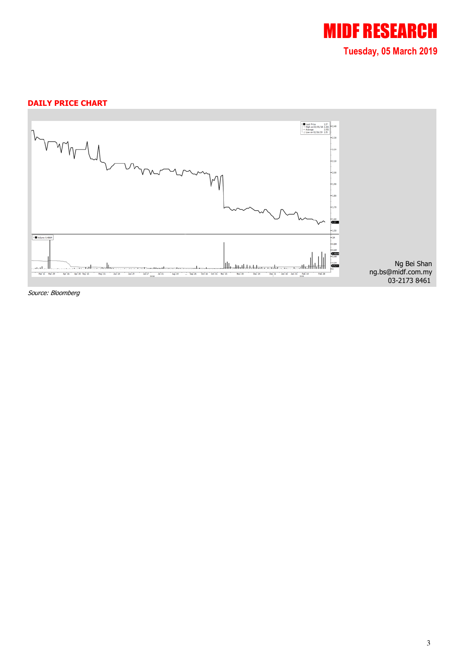

#### DAILY PRICE CHART



Source: Bloomberg